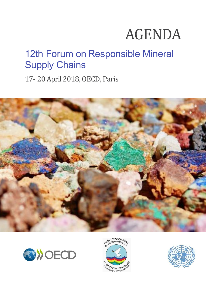# AGENDA

# 12th Forum on Responsible Mineral Supply Chains

17- 20 April 2018, OECD, Paris







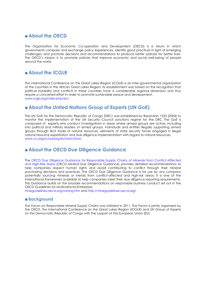# **About the OECD**

The Organisation for Economic Co-operation and Development (OECD) is a forum in which governments compare and exchange policy experiences, identify good practices in light of emerging challenges, and promote decisions and recommendations to produce better policies for better lives. The OECD's mission is to promote policies that improve economic and social well-being of people around the world.

# **About the ICGLR**

The International Conference on the Great Lakes Region (ICGLR) is an inter-governmental organization of the countries in the African Great Lakes Region. Its establishment was based on the recognition that political instability and conflicts in these countries have a considerable regional dimension and thus require a concerted effort in order to promote sustainable peace and development. [www.icglr.org/index.php/en/](http://www.icglr.org/index.php/en/)

# **About the United Nations Group of Experts (UN GoE)**

The UN GoE for the Democratic Republic of Congo (DRC) was established by Resolution 1533 (2004) to monitor the implementation of the UN Security Council sanctions regime for the DRC. The GoE is composed of experts who conduct investigations in areas where armed groups are active, including into political and military leaders of armed groups, individuals and entities illegally supporting armed groups through illicit trade of natural resources, elements of state security forces engaged in illegal natural resource exploitation and due diligence implementation with regard to natural resources. [www.un.org/sc/suborg/en/sanctions/](http://www.un.org/sc/suborg/en/sanctions/1533/work-and-mandate/expert-reports)

# **About the OECD Due Diligence Guidance**

The [OECD Due Diligence Guidance for Responsible Supply Chains of Minerals from Conflict-Affected](http://www.oecd.org/daf/inv/mne/GuidanceEdition2.pdf)  [and High-Risk Areas](http://www.oecd.org/daf/inv/mne/GuidanceEdition2.pdf) (OECD Mineral Due Diligence Guidance) provides detailed recommendations to help companies respect human rights and avoid contributing to conflict through their mineral purchasing decisions and practices. The OECD Due Diligence Guidance is for use by any company potentially sourcing minerals or metals from conflict-affected and high-risk areas. It is one of the international frameworks available to help companies meet their due diligence reporting requirements. This Guidance builds on the broader recommendations on responsible business conduct set out in the OECD Guidelines for Multinational Enterprises.

mneguidelines.oecd.org/mining.htm and http://mneguidelines.oecd.org/

#### **Background**

The Forum on Responsible Mineral Supply Chains was initiated in 2011. The Forum is jointly organised by the OECD, the International Conference on the Great Lakes Region (ICGLR) and UN Group of Experts on the Democratic Republic of Congo with the support of the European Union (EU).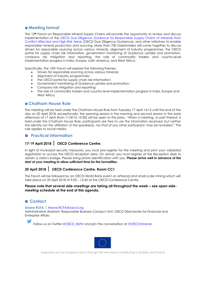# **Meeting format**

The 12**th** Forum on Responsible Mineral Supply Chains will provide the opportunity to review and discuss implementation of the [OECD Due Diligence Guidance for Responsible Supply Chains of Minerals from](http://www.oecd.org/daf/inv/mne/GuidanceEdition2.pdf)  [Conflict-Affected and High-Risk Areas](http://www.oecd.org/daf/inv/mne/GuidanceEdition2.pdf) (OECD Due Diligence Guidance), and other initiatives to enable responsible mineral production and sourcing. More than 700 stakeholders will come together to discuss drivers for responsible sourcing across various minerals, alignment of industry programmes, the OECD portal for supply chain risk information, government monitoring of Guidance uptake and promotion, company risk mitigation and reporting, the role of commodity traders and country-level implementation progress in India, Europe, Latin America, and West Africa.

Specifically, the 12th Forum will explore the following themes:

- Drivers for responsible sourcing across various minerals;
- Alignment of industry programmes;
- The OECD portal for supply chain risk information:
- Government monitoring of Guidance uptake and promotion;
- Company risk mitigation and reporting;
- The role of commodity traders and country-level implementation progress in India, Europe and West Africa.

#### **Chatham House Rule**

The meeting will be held under the Chatham House Rule from Tuesday 17 April 14:15 until the end of the day on 20 April 2018; exceptionally, the opening session in the morning and second session in the early afternoon of 17 April (from 11:00 to 15:30) will be open to the press. "*When a meeting, or part thereof, is held under the Chatham House Rule, participants are free to use the information received, but neither the identity nor the affiliation of the speaker(s), nor that of any other participant, may be revealed*." This rule applies to social media.

# **Practical information**

# **17-19 April 2018**| **OECD Conference Centre,**

In light of increased security measures, you must pre-register for the meeting and print your validated registration to access the OECD reception area. On arrival, you must register at the Reception desk to obtain a visitor's badge. Please bring photo identification with you. **Please arrive well in advance of the start of your meeting to allow sufficient time for the formalities.**

# **20 April 2018**| **OECD Conference Centre, Room CC1**

The Forum will be followed by an OECD-World Bank event on artisanal and small scale mining which will take place on 20 April 2018 at 9:00 – 15:45 at the OECD Conference Centre.

#### **Please note that several side-meetings are taking all throughout the week – see open sidemeeting schedule at the end of this agenda.**

# ■ Contact

#### **Ariane ROTA** |[Ariane.ROTA@oecd.org](mailto:Ariane.ROTA@oecd.org)

Administrative Assistant, Responsible Business Conduct Unit, OECD Directorate for Financial and Enterprise Affairs

Follow us on Twitter @OECD\_BizFin and join the conversation at #OECDminerals



Supported by the European Union through the Instrument contributing to Stability and Peace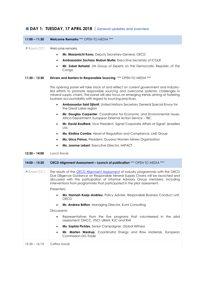# **DAY 1: TUESDAY, 17 APRIL 2018** |**General updates and overview**

#### **11:00 – 11:30 Welcome Remarks** \*\*\* OPEN TO MEDIA \*\*\*

*P* Room CC1 Welcome remarks

- **Mr. Masamichi Kono,** Deputy Secretary-General, OECD
- **Ambassador Zachary Muburi Muita**, Executive Secretary of ICGLR
- **Mr. Zobel Behalal**, UN Group of Experts on the Democratic Republic of the Congo

#### **11:30 – 12:30 Drivers and Barriers to Responsible Sourcing** \*\*\* OPEN TO MEDIA \*\*\*

This opening panel will take stock of and reflect on current government and industryled efforts to promote responsible sourcing and overcome systemic challenges in mineral supply chains. The panel will also focus on emerging trends aiming at fostering business accountability with regard to sourcing practices.

- **Ambassador Said Djinnit**, United Nations Secretary General Special Envoy for the Great Lakes region
- **Mr. Douglas Carpenter**, Coordinator for Economic and Environmental Issues, Africa Department, European External Action Service – TBC
- **Mr. David Bouffard,** Vice President, Signet Corporate Affairs at Signet Jewellers Ltd.
- **Ms. Kirstina Combe**, Head of Regulation and Compliance, LME Group
- **Ms. Urica Primus,** President, Guyana Women Miners Organisation
- **Ms. Joanne Lebert**, Executive Director, IMPACT

#### **12:30 – 14:00 Lunch Break**

| $14:00 - 15:30$              | <b>OECD Alignment Assessment – Launch of publication *** OPEN TO MEDIA ***</b>                                                                                                                                                                                                                                                      |  |  |  |
|------------------------------|-------------------------------------------------------------------------------------------------------------------------------------------------------------------------------------------------------------------------------------------------------------------------------------------------------------------------------------|--|--|--|
| $\triangle$ Room CC1         | The results of the OECD Alignment Assessment of industry programmes with the OECD<br>Due Diligence Guidance on Responsible Mineral Supply Chains will be launched and<br>discussed with the participation of informal Advisory Group members, including<br>interventions from programmes that participated in the pilot assessment. |  |  |  |
|                              | Presenters:                                                                                                                                                                                                                                                                                                                         |  |  |  |
|                              | <b>Ms. Hannah Koep-Andrieu</b> , Policy Adviser, Responsible Business Conduct unit,<br>OECD                                                                                                                                                                                                                                         |  |  |  |
|                              | Mr. Andrew Britton, Managing Director, Kumi Consulting                                                                                                                                                                                                                                                                              |  |  |  |
|                              | Discussants:                                                                                                                                                                                                                                                                                                                        |  |  |  |
|                              | Representatives from the five programs that volunteered in the pilot<br>$\bullet$<br>assessment: DMCC, ITSCI, LBMA, RJC and RMI                                                                                                                                                                                                     |  |  |  |
|                              | Ms. Sophia Pickles, Senior Campaigner, Global Witness<br>$\bullet$                                                                                                                                                                                                                                                                  |  |  |  |
|                              | Mr. Marten Westrup, Coordinator Energy and Raw Materials, European<br>$\bullet$<br>Commission DG Trade                                                                                                                                                                                                                              |  |  |  |
| $15:30 - 16:15$ Coffee break |                                                                                                                                                                                                                                                                                                                                     |  |  |  |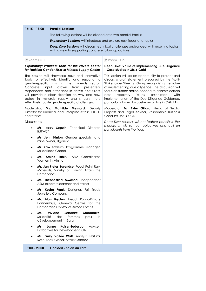#### **16:15 – 18:00 Parallel Sessions**

The following sessions will be divided onto two parallel tracks:

*Exploratory Sessions* will introduce and explore new ideas and topics

**Deep Dive Sessions** will discuss technical challenges and/or deal with recurring topics with a view to supporting concrete follow up actions

#### Room CC1

*Exploratory: Practical Tools for the Private Sector for Tackling Gender Risks in Mineral Supply Chains*

The session will showcase new and innovative tools to effectively identify and respond to gender-specific risks in the minerals sector. Concrete input drawn from presenters, respondents and attendees in active discussions will provide a clear direction on why and how actors in minerals supply chains can more effectively tackle gender-specific challenges.

Moderator: **Ms. Mathilde Mesnard,** Deputy Director for Financial and Enterprise Affairs, OECD **Secretariat** 

Discussants:

- **Ms. Kady Seguin**, Technical Director, IMPACT
- **Ms. Jenn Hinton**, Gender specialist and mine owner, Uganda
- **Mr. Yaw Britwum,** Programme Manager, Solidaridad Ghana
- **Ms. Amina Tahiru**, ASM Coordinator, Women in Mining
- **Mr. Jan Pieter Barendse**, Focal Point Raw Materials, Ministry of Foreign Affairs the **Netherlands**
- **Ms. Theonestina Mwasha**, Independent ASM-expert researcher and trainer
- **Ms. Kesha Frank**, Designer, Fair Trade Jewellery Company
- **Mr. Alan Bryden**, Head, Public-Private Partnerships, Geneva Centre for the Democratic Control of Armed Forces
- **Ms. Viviane Sebahire Maramuke**, Solidarité des femmes pour le développement intégral
- **Ms. Janne Kaiser-Tedesco**, Adviser, Extractives for Development, GIZ
- **Ms. Emily Vallée Watt**, Analyst, Natural Resources, Global Affairs Canada

**18:00 – 20:00 Cocktail - Salon du Parc**

#### **P** Room CC6

#### **Deep Dive: Value of Implementing Due Diligence – Case studies in 3Ts & Gold**

This session will be an opportunity to present and discuss a draft statement prepared by the Multi-Stakeholder Steering Group recognising the value of implementing due diligence. The discussion will focus on further action needed to address certain cost recovery issues associated with implementation of the Due Diligence Guidance, particularly faced by upstream actors in CAHRAs.

Moderator: **Mr. Tyler Gillard**, Head of Sector Projects and Legal Advisor, Responsible Business Conduct Unit, OECD

*Deep Dive sessions will not feature panellists; the moderator will set out objectives and call on participants from the floor.*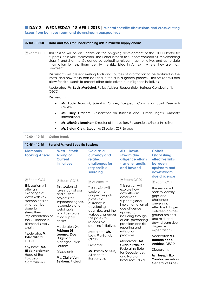# **DAY 2: WEDNESDAY, 18 APRIL 2018**|**Mineral specific discussions and cross-cutting issues from both upstream and downstream perspectives**

**09:00 – 10:00 Data and tools for understanding risk in mineral supply chains**

| Room CC1                                                                                                                                                                                                                                                                              |      | prevalent.                                                                                                                                                                                                                                                            | This session will be an update on the on-going development of the OECD Portal for<br>Supply Chain Risk Information. The Portal intends to support companies implementing<br>steps 1 and 2 of the Guidance by collecting relevant, authoritative, and up-to-date<br>information to help them identify the risks listed in Annex II where they are most |                                                                                                                                                                                                                                                                                                           |                                                                                                                                                                                                                                                                              |
|---------------------------------------------------------------------------------------------------------------------------------------------------------------------------------------------------------------------------------------------------------------------------------------|------|-----------------------------------------------------------------------------------------------------------------------------------------------------------------------------------------------------------------------------------------------------------------------|-------------------------------------------------------------------------------------------------------------------------------------------------------------------------------------------------------------------------------------------------------------------------------------------------------------------------------------------------------|-----------------------------------------------------------------------------------------------------------------------------------------------------------------------------------------------------------------------------------------------------------------------------------------------------------|------------------------------------------------------------------------------------------------------------------------------------------------------------------------------------------------------------------------------------------------------------------------------|
|                                                                                                                                                                                                                                                                                       |      |                                                                                                                                                                                                                                                                       | Discussants will present existing tools and sources of information to be featured in the<br>Portal and how those can be used in the due diligence process. This session will also<br>allow for discussants to present other data driven due diligence initiatives.                                                                                    |                                                                                                                                                                                                                                                                                                           |                                                                                                                                                                                                                                                                              |
|                                                                                                                                                                                                                                                                                       | OECD |                                                                                                                                                                                                                                                                       | Moderator: Mr. Louis Maréchal, Policy Advisor, Responsible, Business Conduct Unit,                                                                                                                                                                                                                                                                    |                                                                                                                                                                                                                                                                                                           |                                                                                                                                                                                                                                                                              |
|                                                                                                                                                                                                                                                                                       |      | Discussants:                                                                                                                                                                                                                                                          |                                                                                                                                                                                                                                                                                                                                                       |                                                                                                                                                                                                                                                                                                           |                                                                                                                                                                                                                                                                              |
|                                                                                                                                                                                                                                                                                       |      | $\bullet$<br>Centre                                                                                                                                                                                                                                                   | Ms. Lucia Mancini, Scientific Officer, European Commission Joint Research                                                                                                                                                                                                                                                                             |                                                                                                                                                                                                                                                                                                           |                                                                                                                                                                                                                                                                              |
|                                                                                                                                                                                                                                                                                       |      | $\bullet$<br>International                                                                                                                                                                                                                                            | Ms. Lucy Graham, Researcher on Business and Human Rights, Amnesty                                                                                                                                                                                                                                                                                     |                                                                                                                                                                                                                                                                                                           |                                                                                                                                                                                                                                                                              |
|                                                                                                                                                                                                                                                                                       |      | $\bullet$                                                                                                                                                                                                                                                             | Ms. Michèle Bruelhart, Director of Innovation, Responsible Mineral Initiative                                                                                                                                                                                                                                                                         |                                                                                                                                                                                                                                                                                                           |                                                                                                                                                                                                                                                                              |
|                                                                                                                                                                                                                                                                                       |      | $\bullet$                                                                                                                                                                                                                                                             | Mr. Stefan Crets, Executive Director, CSR Europe                                                                                                                                                                                                                                                                                                      |                                                                                                                                                                                                                                                                                                           |                                                                                                                                                                                                                                                                              |
| $10:00 - 10:45$                                                                                                                                                                                                                                                                       |      | Coffee break                                                                                                                                                                                                                                                          |                                                                                                                                                                                                                                                                                                                                                       |                                                                                                                                                                                                                                                                                                           |                                                                                                                                                                                                                                                                              |
| $10:45 - 12:45$                                                                                                                                                                                                                                                                       |      |                                                                                                                                                                                                                                                                       |                                                                                                                                                                                                                                                                                                                                                       |                                                                                                                                                                                                                                                                                                           |                                                                                                                                                                                                                                                                              |
|                                                                                                                                                                                                                                                                                       |      | <b>Parallel Mineral Specific Sessions</b>                                                                                                                                                                                                                             |                                                                                                                                                                                                                                                                                                                                                       |                                                                                                                                                                                                                                                                                                           |                                                                                                                                                                                                                                                                              |
| Diamonds-<br><b>Looking Ahead</b>                                                                                                                                                                                                                                                     |      | Mica – Stock<br><b>Taking of</b><br><b>Current</b><br><b>Initiatives</b>                                                                                                                                                                                              | Gold as a<br>currency and<br>related<br>challenges for<br>responsible<br>sourcing                                                                                                                                                                                                                                                                     | 3Ts - Down-<br>stream due<br>diligence efforts<br>- smelter audits<br>and beyond                                                                                                                                                                                                                          | Cobalt-<br><b>Establishing</b><br>effective links<br>between<br>upstream and<br>downstream<br>due diligence                                                                                                                                                                  |
| Room CC6                                                                                                                                                                                                                                                                              |      | Room CC18                                                                                                                                                                                                                                                             | Auditorium                                                                                                                                                                                                                                                                                                                                            | Room CC20                                                                                                                                                                                                                                                                                                 | Room CC1                                                                                                                                                                                                                                                                     |
| This session will<br>offer an<br>exchange of<br>views with key<br>stakeholders on<br>what can be<br>done to<br>strengthen<br>implementation of<br>the Guidance in<br>diamond supply<br>chains.<br>Moderator: Mr.<br>Tyler Gillard,<br><b>OECD</b><br>Key note: Ms.<br>Hilde Hardeman, |      | This session will<br>take stock of past<br>and current<br>projects for<br>implementing fair,<br>responsible and<br>sustainable<br>practices along<br>mica supply<br>chains.<br>Moderator: Dr.<br>Fabiana Di<br>Lorenzo, Due<br>Diligence<br>Manager, Levin<br>Sources | This session will<br>explore the<br>unique role gold<br>plays as a<br>currency in<br>developing<br>countries, and the<br>various challenges<br>this poses to<br>responsible<br>sourcing initiatives.<br>Moderator: Mr.<br>Louis Maréchal,<br><b>OECD</b><br>Presenter:                                                                                | This session will<br>explore how<br>downstream<br>actors can<br>support global<br>implementation of<br>due diligence<br>upstream,<br>including through<br>audits, purchasing<br>practices and risk<br>reporting and<br>mitigation<br>practices.<br>Moderator: Ms.<br>Gudrun Franken,<br>Federal Institute | This session will<br>seek to identify<br>gaps and<br>challenges<br>preventing<br>effective linkages<br>between on-the-<br>ground projects<br>and mid- and<br>downstream due<br>diligence<br>expectations.<br>Moderator: Ms.<br>Hannah Koep-<br>Andrieu, OECD<br>Discussants: |
| Head of the<br>European<br>Commission's                                                                                                                                                                                                                                               |      | Discussants:<br>Ms. Claire Van<br><b>Bekkum, Project</b>                                                                                                                                                                                                              | Mr. Patrick Schein,<br>Alliance for<br>Responsible                                                                                                                                                                                                                                                                                                    | for Geosciences<br>and Natural<br>Resources (BGR)                                                                                                                                                                                                                                                         | Mr. Joseph Ikoli<br>Yombo, Secretary<br>General of Mines                                                                                                                                                                                                                     |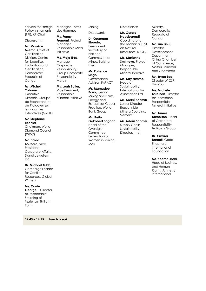Service for Foreign Policy Instruments (FPI), KP Chair

Discussants:

**Mr. Maurice Miema**, Chief of **Certification** Division, Centre for Expertise, Evaluation and Certification, **Democratic** Republic of Congo

**Mr. Michel Yoboue**, **Executive** Director, Groupe de Recherche et de Plaidoyer sur les Industries Extractives (GRPIE)

**Mr. Stephane Fischler**, Chairman, World Diamond Council (WDC)

**Mr. David Bouffard,** Vice President, Corporate Affairs, Signet Jewellers Ltd.

**Dr. Michael Gibb**, Campaign Leader for Conflict Resources, Global Witness

**Ms. Carrie George**, Director of Responsible Sourcing of Materials, Brilliant Earth

**12:45 – 14:15 Lunch break**

Manager**,** Terres des Hommes

**Ms. Fanny Frémont**, Project Manager, Responsible Mica Initiative

# **Ms. Maja Erbs**,

Manager Corporate Responsibility, Group Corporate

Vice President, Responsible Minerals Initiative

**Dr. Ousmane** 

**Mining Discussants** 

**Ilboudo,**  Permanent Secretary of **National** Commission of Mines, Burkina Faso

**Mr. Patience Singo**, **Governance** Advisor, IMPACT

**Mr. Mamadou Barry**, Senior Mining Specialist, Energy and Extractives Global Practice, World Bank Group

**Ms. Keita Gekobed Sogoba**, Head of the **Oversight** Committee, Federation of Women in Mining, Mali

Discussants:

**Mr. Gerard Nayuburundi**, Coordinator of the Technical Unit on Natural Resources, ICGLR

**Ms. Marianna Smirnova,** Project Manager, Responsible Mineral Initiative

**Ms. Kay Nimmo,**  Head of Sustainability, International Tin Association Ltd.

**Mr. André Schmitz**, Senior Director Responsible Mineral Sourcing, Siemens

**Mr. Adam Schafer**, Supply Chain Sustainability Director, Intel

Ministry, **Democratic** Republic of Congo

#### **Mr. Sun Lihui**,

Director, Development Department, China Chamber of Commerce, Metals, Minerals and Chemicals

**Mr. Bryce Lee**, Director of CSR, Huayou

**Ms. Michèle Bruelhart**, Director for Innovation, Responsible Mineral Initiative

**Mr. James Nicholson**, Head of Corporate Responsibility, Trafigura Group

**Dr. Cristina Duranti**, Good **Shepherd** International Foundation

**Ms. Seema Joshi,**

Head of Business and Human Rights, Amnesty International

Responsibility, Merck **Ms. Leah Butler**,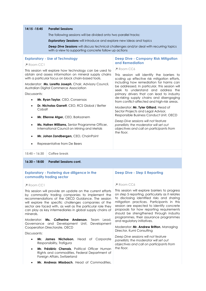#### **14:15 -15:45 Parallel Sessions**

The following sessions will be divided onto two parallel tracks:

**Exploratory Sessions** will introduce and explore new ideas and topics

**Deep Dive Sessions** will discuss technical challenges and/or deal with recurring topics with a view to supporting concrete follow up actions

| Room CC1<br>Discussants:<br>$\bullet$<br>Cobalt<br>$\bullet$<br>$\bullet$ | <b>Exploratory - Use of Technology</b><br>This session will explore how technology can be used to<br>obtain and assess information on mineral supply chains<br>with a particular focus on block chain-based tools.<br>Moderator: Ms. Loretta Joseph, Chair, Advisory Council,<br>Australian Digital Commerce Association<br>Mr. Ryan Taylor, CEO, Consensas<br>Dr. Nicholas Garrett, CEO, RCS Global / Better<br>Mr. Etienne Atger, CEO, Barksanem<br>Ms. Hafren Williams, Senior Programme Officer,<br>International Council on Mining and Metals<br>Mr. Johan Zandbergen, CEO, ChainPoint | <b>Deep Dive - Company Risk Mitigation</b><br>and Remediation<br>Room CC6<br>This session will identify the barriers to<br>scaling up effective risk mitigation efforts,<br>including how remediation for harms can<br>be addressed. In particular, this session will<br>seek to understand and address the<br>primary drivers that can lead to industry<br>de-risking supply chains and disengaging<br>from conflict-affected and high-risk areas.<br>Moderator: Mr. Tyler Gillard, Head of<br>Sector Projects and Legal Advisor,<br>Responsible Business Conduct Unit, OECD<br>Deep Dive sessions will not feature<br>panellists; the moderator will set out<br>objectives and call on participants from<br>the floor. |
|---------------------------------------------------------------------------|---------------------------------------------------------------------------------------------------------------------------------------------------------------------------------------------------------------------------------------------------------------------------------------------------------------------------------------------------------------------------------------------------------------------------------------------------------------------------------------------------------------------------------------------------------------------------------------------|--------------------------------------------------------------------------------------------------------------------------------------------------------------------------------------------------------------------------------------------------------------------------------------------------------------------------------------------------------------------------------------------------------------------------------------------------------------------------------------------------------------------------------------------------------------------------------------------------------------------------------------------------------------------------------------------------------------------------|
| Representative from De Beers                                              |                                                                                                                                                                                                                                                                                                                                                                                                                                                                                                                                                                                             |                                                                                                                                                                                                                                                                                                                                                                                                                                                                                                                                                                                                                                                                                                                          |
| $15:45 - 16:30$                                                           | Coffee break                                                                                                                                                                                                                                                                                                                                                                                                                                                                                                                                                                                |                                                                                                                                                                                                                                                                                                                                                                                                                                                                                                                                                                                                                                                                                                                          |
| $16:30 - 18:00$                                                           | <b>Parallel Sessions cont.</b>                                                                                                                                                                                                                                                                                                                                                                                                                                                                                                                                                              |                                                                                                                                                                                                                                                                                                                                                                                                                                                                                                                                                                                                                                                                                                                          |

#### **Exploratory - Fostering due diligence in the commodity trading sector**

#### **P** Room CC1

This session will provide an update on the current efforts by commodity trading companies to implement the recommendations of the OECD Guidance. The session will explore the specific challenges companies of the sector are faced with, as well as the particular role they can play as key intermediaries in global supply chains of minerals.

Moderator: **Ms. Catherine Anderson**, Team Lead, Governance and Development Unit, Development Cooperation Directorate, OECD

Discussants:

- **Mr. James Nicholson**, Head of Corporate Responsibility, Trafigura
- **Mr. Frédéric Chenais**, Political Officer Human Rights and commodities, Federal Department of Foreign Affairs, Switzerland
- **Mr. Andreas Missbach**, Head of Commodities,

#### **Deep Dive - Step 5 Reporting**

#### **P** Room CC6

This session will explore barriers to progress on step 5 reporting, particularly as it relates to disclosing identified risks and sharing mitigation practices. Participants in this session are expected to identify concrete proposals for how reporting requirements should be strengthened through industry programmes, their assurance programmes and regulatory initiatives.

Moderator: **Mr. Andrew Britton**, Managing Director, Kumi Consulting

*Deep Dive sessions will not feature panellists; the moderator will set out objectives and call on participants from the floor.*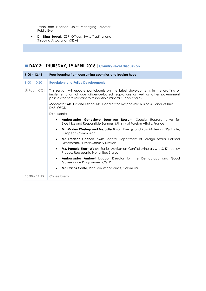Trade and Finance, Joint Managing Director, Public Eye

 **Dr. Nina Eggert**, CSR Officer, Swiss Trading and Shipping Association (STSA)

# **DAY 3: THURSDAY, 19 APRIL 2018**|**Country-level discussion**

| $9:00 - 12:45$       | Peer-learning from consuming countries and trading hubs                                                                                                                                                                                  |
|----------------------|------------------------------------------------------------------------------------------------------------------------------------------------------------------------------------------------------------------------------------------|
| $9:00 - 10:30$       | <b>Regulatory and Policy Developments</b>                                                                                                                                                                                                |
| $\triangle$ Room CC1 | This session will update participants on the latest developments in the drafting or<br>implementation of due diligence-based regulations as well as other government<br>policies that are relevant to responsible mineral supply chains. |
|                      | Moderator: Ms. Cristina Tebar Less, Head of the Responsible Business Conduct Unit,<br>DAF, OECD                                                                                                                                          |
|                      | Discussants:                                                                                                                                                                                                                             |
|                      | Ambassador Geneviève Jean-van Rossum, Special Representative for<br>$\bullet$<br>Bioethics and Responsible Business, Ministry of Foreign Affairs, France                                                                                 |
|                      | Mr. Marten Westrup and Ms. Julie Timon, Energy and Raw Materials, DG Trade,<br>$\bullet$<br>European Commission                                                                                                                          |
|                      | <b>Mr. Frédéric Chenais</b> , Swiss Federal Department of Foreign Affairs, Political<br>$\bullet$<br>Directorate, Human Security Division                                                                                                |
|                      | <b>Ms. Pamela Fierst-Walsh</b> , Senior Advisor on Conflict Minerals & U.S. Kimberley<br>$\bullet$<br>Process Representative, United States                                                                                              |
|                      | Ambassador Ambeyi Ligabo, Director for the Democracy and Good<br>$\bullet$<br>Governance Programme, ICGLR                                                                                                                                |
|                      | <b>Mr. Carlos Cante</b> , Vice Minister of Mines, Colombia<br>$\bullet$                                                                                                                                                                  |
| $10:30 - 11:15$      | Coffee break                                                                                                                                                                                                                             |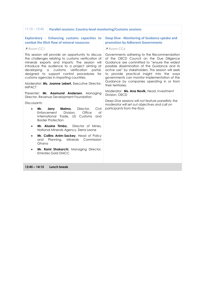| $11:15 - 12:45$<br><b>Parallel sessions: Country-level monitoring/Customs sessions</b>                                                                                                                                                                                                                                                                                 |                                                                                                                                                                                                                                                                                                                                                                                                                     |
|------------------------------------------------------------------------------------------------------------------------------------------------------------------------------------------------------------------------------------------------------------------------------------------------------------------------------------------------------------------------|---------------------------------------------------------------------------------------------------------------------------------------------------------------------------------------------------------------------------------------------------------------------------------------------------------------------------------------------------------------------------------------------------------------------|
| <b>Exploratory - Enhancing customs capacities to</b><br>combat the illicit flow of mineral resources                                                                                                                                                                                                                                                                   | Deep Dive - Monitoring of Guidance uptake and<br>promotion by Adherent Governments                                                                                                                                                                                                                                                                                                                                  |
| Room CC1                                                                                                                                                                                                                                                                                                                                                               | Room CC6                                                                                                                                                                                                                                                                                                                                                                                                            |
| This session will provide an opportunity to discuss<br>the challenges relating to customs verification of<br>minerals exports and imports. The session will<br>introduce the audience to a project aiming at<br>verification<br>developing<br>$\alpha$<br>customs<br>portal,<br>designed to support control procedures for<br>customs agencies in importing countries. | Governments adhering to the Recommendation<br>of the OECD Council on the Due Diligence<br>Guidance are committed to "ensure the widest"<br>possible dissemination of the Guidance and its<br>active use" by stakeholders. This session will seek<br>to provide practical insight into the ways<br>governments can monitor implementation of the<br>Guidance by companies operating in or from<br>their territories. |
| Moderator: Ms. Joanne Lebert, Executive Director,<br><b>IMPACT</b>                                                                                                                                                                                                                                                                                                     |                                                                                                                                                                                                                                                                                                                                                                                                                     |
| Presenter: Mr. Aasmund Andersen, Managing<br>Director, Revenue Development Foundation                                                                                                                                                                                                                                                                                  | Moderator: Ms. Ana Novik, Head, Investment<br>Division, OECD                                                                                                                                                                                                                                                                                                                                                        |
| Discussants:                                                                                                                                                                                                                                                                                                                                                           | Deep Dive sessions will not feature panellists; the<br>moderator will set out objectives and call on                                                                                                                                                                                                                                                                                                                |
| Malmo,<br>Civil<br>Jerry<br>Director,<br>Mr.<br>$\bullet$<br>Enforcement<br>Division,<br>Office<br>of<br>International Trade, US Customs<br>and<br><b>Border Protection</b>                                                                                                                                                                                            | participants from the floor.                                                                                                                                                                                                                                                                                                                                                                                        |
| Mr. Alusine Timbo,<br>Director of Mines,<br>$\bullet$<br>National Minerals Agency, Sierra Leone                                                                                                                                                                                                                                                                        |                                                                                                                                                                                                                                                                                                                                                                                                                     |
| Mr. Collins Anim-Sackey, Head of Policy<br>$\bullet$<br>Planning,<br>Minerals Commission<br>and<br>Ghana                                                                                                                                                                                                                                                               |                                                                                                                                                                                                                                                                                                                                                                                                                     |
| Mr. Rami Shakarchi, Managing Director,<br>$\bullet$<br><b>Emirates Gold DMCC</b>                                                                                                                                                                                                                                                                                       |                                                                                                                                                                                                                                                                                                                                                                                                                     |
| $12:45 - 14:15$<br>Lunch break                                                                                                                                                                                                                                                                                                                                         |                                                                                                                                                                                                                                                                                                                                                                                                                     |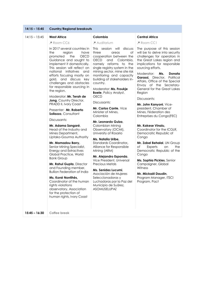# **14:15 – 15:45 Country/Regional breakouts**

#### 14:15 – 15:45 **West Africa Colombia**

| $14:15 - 15:45$ | <b>West Africa</b>                                                                                                                                                                                                                                                                                                        | Colombia                                                                                                                                                                                                                                                                                                                                      | <b>Central Africa</b>                                                                                                                                                           |
|-----------------|---------------------------------------------------------------------------------------------------------------------------------------------------------------------------------------------------------------------------------------------------------------------------------------------------------------------------|-----------------------------------------------------------------------------------------------------------------------------------------------------------------------------------------------------------------------------------------------------------------------------------------------------------------------------------------------|---------------------------------------------------------------------------------------------------------------------------------------------------------------------------------|
|                 | Room CC6                                                                                                                                                                                                                                                                                                                  | Auditorium                                                                                                                                                                                                                                                                                                                                    | Room CC1                                                                                                                                                                        |
|                 | In 2017 several countries in<br>the<br>region<br>have<br>promoted<br>the<br>OECD<br>Guidance and sought to<br>implement it domestically.<br>This session will reflect on<br>national initiatives<br>and<br>efforts focusing mostly on<br>gold, and discuss key<br>challenges and obstacles<br>for responsible sourcing in | This session will discuss<br>three<br>Оf<br>areas<br>cooperation between the<br><b>OECD</b><br>Colombia,<br>and<br>namely reforms to the<br>single registry system in the<br>mining sector, mine site risk<br>monitoring and capacity<br>building of stakeholders in-<br>country.<br>Moderator: Ms. Froukje<br><b>Boele</b> , Policy Analyst, | The purpose of this session<br>will be to delve into security<br>challenges for operators in<br>the Great Lakes region and<br>implications for responsible<br>sourcing efforts. |
|                 |                                                                                                                                                                                                                                                                                                                           |                                                                                                                                                                                                                                                                                                                                               | Moderator:<br>Ms.<br>Donata<br>Garassi, Director,<br>Political<br>Affairs, Office of the Special<br>Envoy of the Secretary-<br>General for the Great Lakes                      |
|                 | the region.                                                                                                                                                                                                                                                                                                               |                                                                                                                                                                                                                                                                                                                                               | Region                                                                                                                                                                          |
|                 | Moderator: Mr. Terah de<br>Jong, Country Director,                                                                                                                                                                                                                                                                        | <b>OECD</b>                                                                                                                                                                                                                                                                                                                                   | Discussants:                                                                                                                                                                    |
|                 | PRADD II, Ivory Coast                                                                                                                                                                                                                                                                                                     | Discussants:                                                                                                                                                                                                                                                                                                                                  | Mr. John Kanyoni, Vice-                                                                                                                                                         |
|                 | Presenter: Mr. Roberto<br>Sollazzo, Consultant                                                                                                                                                                                                                                                                            | Mr. Carlos Cante, Vice<br>Minister of Mines,<br>Colombia                                                                                                                                                                                                                                                                                      | president, Chamber of<br>Mines, Féderation des<br>Entreprises du Congo (FEC)                                                                                                    |
|                 | Discussants:                                                                                                                                                                                                                                                                                                              | Mr. Leonardo Guiza,                                                                                                                                                                                                                                                                                                                           |                                                                                                                                                                                 |
|                 | Mr. Adama Sangaré,<br>Head of the Industry and<br>Mines Department,                                                                                                                                                                                                                                                       | Colombian Mining<br>Observatory (OCMI),<br>University of Rosario                                                                                                                                                                                                                                                                              | Mr. Kakese Vinalu,<br>Coordinator for the ICGLR,<br>Democratic Republic of                                                                                                      |
|                 | Liptako-Gourma Authority                                                                                                                                                                                                                                                                                                  | Ms. Natalia Uribe,                                                                                                                                                                                                                                                                                                                            | Congo                                                                                                                                                                           |
|                 | Mr. Mamadou Barry,<br>Senior Mining Specialist,<br><b>Energy and Extractives</b><br>Global Practice, World<br><b>Bank Group</b><br>Mr. Rahul Gupta, Director                                                                                                                                                              | Standards Coordinator,<br>Alliance for Responsible<br>Mining (ARM)                                                                                                                                                                                                                                                                            | Mr. Zobel Behalal, UN Group<br><b>Experts</b><br>of<br>on<br>the<br>Democratic Republic of the                                                                                  |
|                 |                                                                                                                                                                                                                                                                                                                           | Mr. Alejandro Esponda,<br>Vice President, Universal<br><b>Precious Metals</b>                                                                                                                                                                                                                                                                 | Congo<br>Ms. Sophia Pickles, Senior                                                                                                                                             |
|                 |                                                                                                                                                                                                                                                                                                                           |                                                                                                                                                                                                                                                                                                                                               | Campaigner, Global                                                                                                                                                              |
|                 | and Founding member,<br><b>Bullion Federation of India</b>                                                                                                                                                                                                                                                                | Ms. Senides Lucumi,                                                                                                                                                                                                                                                                                                                           | Witness                                                                                                                                                                         |
|                 | Ms. Koné Nontihès,<br>Coordinator of the human<br>rights violations<br>observatory, Association<br>for the protection of<br>human rights, Ivory Coast                                                                                                                                                                     | Asociación de Mujeres<br>Seleccionadoras y<br>Luchadoras por la Paz del<br>Municipio de Suárez,<br>ASOMUSELUPAZ                                                                                                                                                                                                                               | Mr. Mickaël Daudin,<br>Program Manager, ITSCI<br>Program, Pact                                                                                                                  |
| $15:45 - 16:30$ | <b>Coffee break</b>                                                                                                                                                                                                                                                                                                       |                                                                                                                                                                                                                                                                                                                                               |                                                                                                                                                                                 |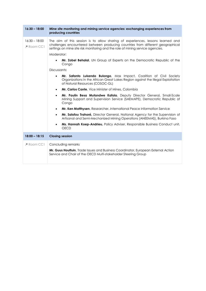| $16:30 - 18:00$             | Mine site monitoring and mining service agencies: exchanging experiences from<br>producing countries                                                                                                                                                                                                                                                                                                                                                                                                                                                                                                                                                                                                                                                                                                                                                                                                                                                                                                                                                                                                                                                                           |
|-----------------------------|--------------------------------------------------------------------------------------------------------------------------------------------------------------------------------------------------------------------------------------------------------------------------------------------------------------------------------------------------------------------------------------------------------------------------------------------------------------------------------------------------------------------------------------------------------------------------------------------------------------------------------------------------------------------------------------------------------------------------------------------------------------------------------------------------------------------------------------------------------------------------------------------------------------------------------------------------------------------------------------------------------------------------------------------------------------------------------------------------------------------------------------------------------------------------------|
| $16:30 - 18:00$<br>Room CC1 | The aim of this session is to allow sharing of experiences, lessons learned and<br>challenges encountered between producing countries from different geographical<br>settings on mine site risk monitoring and the role of mining service agencies.<br>Moderator:<br>Mr. Zobel Behalal, UN Group of Experts on the Democratic Republic of the<br>Congo<br>Discussants:<br>Mr. Safanto Lukendo Bulongo, Max Impact, Coalition of Civil Society<br>$\bullet$<br>Organizations in the African Great Lakes Region against the Illegal Exploitation<br>of Natural Resources (COSOC-GL)<br>Mr. Carlos Cante, Vice Minister of Mines, Colombia<br>$\bullet$<br>Mr. Paulin Besa Mutandwe Kafola, Deputy Director General, Small-Scale<br>$\bullet$<br>Mining Support and Supervision Service (SAEMAPE), Democratic Republic of<br>Congo<br>Mr. Ken Matthysen, Researcher, International Peace Information Service<br>$\bullet$<br>Mr. Salofou Trahoré, Director General, National Agency for the Supervision of<br>$\bullet$<br>Artisanal and Semi-Mechanized Mining Operations (ANEEMAS), Burkina Faso<br>Ms. Hannah Koep-Andrieu, Policy Adviser, Responsible Business Conduct unit, |
|                             | <b>OECD</b>                                                                                                                                                                                                                                                                                                                                                                                                                                                                                                                                                                                                                                                                                                                                                                                                                                                                                                                                                                                                                                                                                                                                                                    |
| $18:00 - 18:15$             | <b>Closing session</b>                                                                                                                                                                                                                                                                                                                                                                                                                                                                                                                                                                                                                                                                                                                                                                                                                                                                                                                                                                                                                                                                                                                                                         |
| $\triangle$ Room CC1        | Concluding remarks<br>Mr. Guus Houttuin, Trade Issues and Business Coordinator, European External Action<br>Service and Chair of the OECD Multi-stakeholder Steering Group                                                                                                                                                                                                                                                                                                                                                                                                                                                                                                                                                                                                                                                                                                                                                                                                                                                                                                                                                                                                     |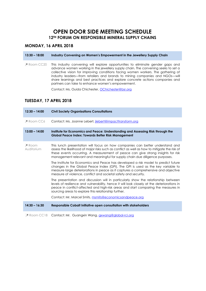# **OPEN DOOR SIDE MEETING SCHEDULE 12TH FORUM ON RESPONSIBLE MINERAL SUPPLY CHAINS**

# **MONDAY, 16 APRIL 2018**

#### **13:30 – 18:00 Industry Convening on Women's Empowerment in the Jewellery Supply Chain**

 Room CC20 This industry convening will explore opportunities to eliminate gender gaps and advance women working in the jewellery supply chain. The convening seeks to set a collective vision for improving conditions facing women workers. The gathering of industry leaders—from retailers and brands to mining companies and NGOs—will share learnings and best practices and explore concrete actions companies and partners can take to enhance women's empowerment.

Contact: Ms. Ouida Chichester, [OChichester@bsr.org](mailto:OChichester@bsr.org)

# **TUESDAY, 17 APRIL 2018**

| $12:30 - 14:00$                | <b>Civil Society Organisations Consultations</b>                                                                                                                                                                                                                                                                                                 |
|--------------------------------|--------------------------------------------------------------------------------------------------------------------------------------------------------------------------------------------------------------------------------------------------------------------------------------------------------------------------------------------------|
| Room CC6                       | Contact: Ms. Joanne Lebert, jlebert@impacttransform.org                                                                                                                                                                                                                                                                                          |
| $13:00 - 14:00$                | Institute for Economics and Peace: Understanding and Assessing Risk through the<br><b>Global Peace Index: Towards Better Risk Management</b>                                                                                                                                                                                                     |
| $\triangle$ Room<br>Auditorium | This lunch presentation will focus on how companies can better understand and<br>assess the likelihood of major risks such as conflict as well as how to mitigate the risk of<br>these events occurring. A measurement of peace can give strong insights for risk<br>management relevant and meaningful for supply chain due diligence purposes. |
|                                | The Institute for Economics and Peace has developed a risk model to predict future<br>changes in the Global Peace Index (GPI). The GPI is used as the key variable to<br>measure large deteriorations in peace as it captures a comprehensive and objective<br>measure of violence, conflict and societal safety and security.                   |
|                                | The presentation and discussion will in particularly show the relationship between<br>levels of resilience and vulnerability, hence it will look closely at the deteriorations in<br>peace in conflict-affected and high-risk areas and start comparing the measures in<br>sourcing areas to explore this relationship further.                  |
|                                | Contact: Mr. Marcel Smits, msmits@economicsandpeace.org                                                                                                                                                                                                                                                                                          |
| $14:30 - 16:30$                | Responsible Cobalt Initiative open consultation with stakeholders                                                                                                                                                                                                                                                                                |
| $\triangle$ Room CC18          | Contact: Mr. Guangxin Wang, <i>gxwang@global-rci.org</i>                                                                                                                                                                                                                                                                                         |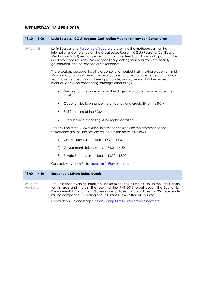# **WEDNESDAY, 18 APRIL 2018**

**13:30 – 18:00 Levin Sources: ICGLR Regional Certification Mechanism Revision Consultation** 

**P** Room E Levin Sources an[d Responsible Trade](https://levinsources.us3.list-manage.com/track/click?u=7ce7675a06a01c5328d0f6cd0&id=a0cc1aa6a7&e=ffd55e5a65) are presenting the methodology for the International Conference on the Great Lakes Region (ICGLR) Regional Certification Mechanism (RCM) revision process and soliciting feedback from participants on the initial proposed revisions. We are specifically looking for inputs from civil society, government, and private sector stakeholders.

> These sessions precede the official consultation period that is taking place from mid-May onwards and will permit the Levin Sources and Responsible Trade consultancy team to sense check and, where appropriate, modify version 1 of the revised manual. We will be considering, amongst other things:

- The roles and responsibilities in due diligence and compliance under the RCM
- Opportunities to enhance the efficiency and credibility of the RCM
- Self-financing of the RCM
- Other barriers impacting RCM implementation

There will be three RCM revision 'information sessions' for the aforementioned stakeholder groups. The sessions will be broken down as follows:

- 1) Civil Society stakeholders 13:30 15:00
- 2) Government stakeholders 15:00 16:30
- 3) Private Sector stakeholders 16:30 18:00

Contact: Mr. Adam Rolfe[, adam.rolfe@levinsources.com](mailto:adam.rolfe@levinsources.com)

#### **13:00 – 14:30 Responsible Mining Index launch**

 Room Auditorium The Responsible Mining Index focuses on mine sites, as the first link in the value chain for minerals and metals. The results of the RMI 2018 report covers the Economic, Environmental, Social and Governance policies and practices for 30 large scale mining companies, operating over 700 mines, in 40 different countries.

Contact: Ms. Helene Piaget, helene.piaget@responsibleminingindex.org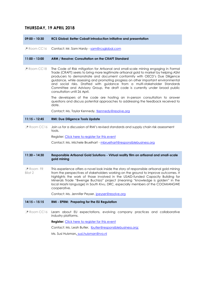# **THURSDAY, 19 APRIL 2018**

**09:00 – 10:30 RCS Global: Better Cobalt introduction Initiative and presentation** 

**P** Room CC16 Contact: Mr. Sam Hardy - [sam@rcsglobal.com](mailto:sam@rcsglobal.com)

#### **11:00 – 13:00 ARM / Resolve: Consultation on the CRAFT Standard**

 Room CC18 The Code of Risk mitigation for Artisanal and small-scale mining engaging in Formal Trade (CRAFT) seeks to bring more legitimate artisanal gold to market by helping ASM producers to demonstrate and document conformity with OECD's Due Diligence guidance, while assessing and promoting progress on other important environmental and social risks. Drafted with guidance from a multi-stakeholder Standards Committee and Advisory Group, the draft code is currently under broad public consultation until 26 April.

> The developers of the code are hosting an in-person consultation to answer questions and discuss potential approaches to addressing the feedback received to date.

Contact: Ms. Taylor Kennedy, tkennedy@resolve.org

#### **11:15 – 12:45 RMI: Due Diligence Tools Update**

 Room CC16 Join us for a discussion of RMI's revised standards and supply chain risk assessment tools.

Register[: Click here to register for this event](https://rba.swoogo.com/RMI_Due_Dilligence_Tools_Paris2018)

Contact: Ms. Michele Bruelhart - [mbruelhart@responsiblebusiness.org](mailto:mbruelhart@responsiblebusiness.org)

#### **11:30 – 14:30 Responsible Artisanal Gold Solutions - Virtual reality film on artisanal and small-scale gold mining**

 Room FR Bilat 2 This experience offers a novel look inside the story of responsible artisanal gold mining from the perspectives of stakeholders working on the ground to improve outcomes. It highlights the work of those involved in the USAID-funded Capacity Building for Minerals Trade "Bwenge Buchiza" project (meaning "knowledge is golden" in the local Mashi language) in South Kivu, DRC, especially members of the COOMIANGWE cooperative.

Contact: Ms. Jennifer Peyser, [jpeyser@resolve.org](mailto:jpeyser@resolve.org)

#### **14:15 – 15:15 RMI - EPRM: Preparing for the EU Regulation**

 Room CC16 Learn about EU expectations, evolving company practices and collaborative industry platforms.

#### **Register:** [Click here to register for this event](https://rba.swoogo.com/RMI_EPRM2018)

Contact: Ms. Leah Butler, [lbutler@responsiblebusiness.org;](mailto:lbutler@responsiblebusiness.org) 

Ms. Susi Huisman, susi.huisman@rvo.nl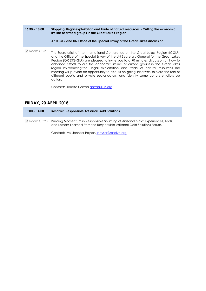| $16:30 - 18:00$ | Stopping illegal exploitation and trade of natural resources - Cutting the economic<br>lifeline of armed groups in the Great Lakes Region<br>An ICGLR and UN Office of the Special Envoy of the Great Lakes discussion                                                                                                                                                                                                                                                                                                                                                                                                          |
|-----------------|---------------------------------------------------------------------------------------------------------------------------------------------------------------------------------------------------------------------------------------------------------------------------------------------------------------------------------------------------------------------------------------------------------------------------------------------------------------------------------------------------------------------------------------------------------------------------------------------------------------------------------|
| Room CC20       | The Secretariat of the International Conference on the Great Lakes Region (ICGLR)<br>and the Office of the Special Envoy of the UN Secretary General for the Great Lakes<br>Region (O/SESG-GLR) are pleased to invite you to a 90 minutes discussion on how to<br>enhance efforts to cut the economic lifeline of armed groups in the Great Lakes<br>region by reducing the illegal exploitation and trade of natural resources. The<br>meeting will provide an opportunity to discuss on-going initiatives, explore the role of<br>different public and private sector actors, and identify some concrete follow up<br>action. |
|                 | Contact: Donata Garrasi garrasi@un.org                                                                                                                                                                                                                                                                                                                                                                                                                                                                                                                                                                                          |

# **FRIDAY, 20 APRIL 2018**

**13:00 – 14:00 Resolve: Responsible Artisanal Gold Solutions**  Room CC20 Building Momentum in Responsible Sourcing of Artisanal Gold: Experiences, Tools, and Lessons Learned from the Responsible Artisanal Gold Solutions Forum.

Contact: Ms. Jennifer Peyser, [jpeyser@resolve.org](mailto:jpeyser@resolve.org)